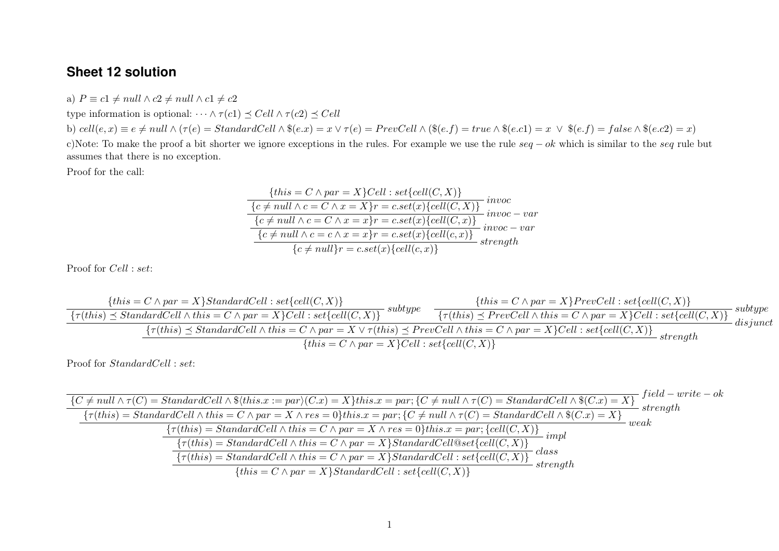## **Sheet 12 solution**

a)  $P \equiv c1 \neq null \wedge c2 \neq null \wedge c1 \neq c2$ 

type information is optional:  $\cdots \wedge \tau(c_1) \preceq Cell \wedge \tau(c_2) \preceq Cell$ 

b) cell $(e, x) \equiv e \neq null \land (\tau(e) = StandardCell \land \$(e.x) = x \lor \tau(e) = PrevCell \land (\$(e.f) = true \land \$(e.c1) = x \lor \$(e.f) = false \land \$(e.c2) = x)$ c)Note: To make the proof a bit shorter we ignore exceptions in the rules. For example we use the rule  $seq - ok$  which is similar to the seq rule but assumes that there is no exception.

Proof for the call:

$$
\{this = C \land par = X\}Cell : set\{cell(C, X)\}
$$
\n
$$
\{c \neq null \land c = C \land x = X\}r = c.set(x)\{cell(C, X)\}\n\text{invoc}
$$
\n
$$
\{c \neq null \land c = C \land x = x\}r = c.set(x)\{cell(C, x)\}\n\text{invoc} - var
$$
\n
$$
\{c \neq null \land c = c \land x = x\}r = c.set(x)\{cell(c, x)\}\n\text{invoc} - var
$$
\n
$$
\{c \neq null\}r = c.set(x)\{cell(c, x)\}\n\text{strength}
$$

Proof for Cell : set:

$$
\frac{\{this = C \land par = X\}StandardCell : set\{cell(C, X)\}}{\{\tau(this) \le StandardCell \land this = C \land par = X\}Cell : set\{cell(C, X)\}} \xrightarrow{\{this = C \land par = X\} PrevCell : set\{cell(C, X)\}} \text{subtype}
$$
\n
$$
\frac{\{\tau(this) \le StandardCell \land this = C \land par = X\}Cell : set\{cell(C, X)\}}{\{\tau(this) \le StandardCell \land this = C \land par = X \lor \tau(this) \le PrevCell \land this = C \land par = X\}Cell : set\{cell(C, X)\}} \text{disjunct}
$$
\n
$$
\{this = C \land par = X\}Cell : set\{cell(C, X)\} \xrightarrow{\{this = C \land par = X\}Cell : set\{cell(C, X)\}} \text{strongth}
$$

Proof for *StandardCell* : set:

$$
\frac{\{C \neq null \land \tau(C) = StandardCell \land \$(this.x := par)(C.x) = X\} this.x = par; \{C \neq null \land \tau(C) = StandardCell \land \$(C.x) = X\}}{\{ \tau(this) = StandardCell \land this = C \land par = X \land res = 0 \} this.x = par; \{C \neq null \land \tau(C) = StandardCell \land \$(C.x) = X\}} \text{strength}
$$
\n
$$
\frac{\{\tau(this) = StandardCell \land this = C \land par = X \land res = 0 \} this.x = par; \{cell(C, X)\}}{\{ \tau(this) = StandardCell \land this = C \land par = X \} StandardCell@set{cell(C, X)\}} \text{impl}
$$
\n
$$
\frac{\{\tau(this) = StandardCell \land this = C \land par = X \} StandardCell@set{cell(C, X)\}}{\{ \tau(this) = StandardCell \land this = C \land par = X \} StandardCell: set{cell(C, X)\}} \text{class}
$$
\n
$$
\frac{\{ \tau(this) = StandardCell \land this = C \land par = X \} StandardCell: set{cell(C, X)\}}{\{ \tau(this) = C \land par = X \} StandardCell: set{cell(C, X)\}} \text{strength}
$$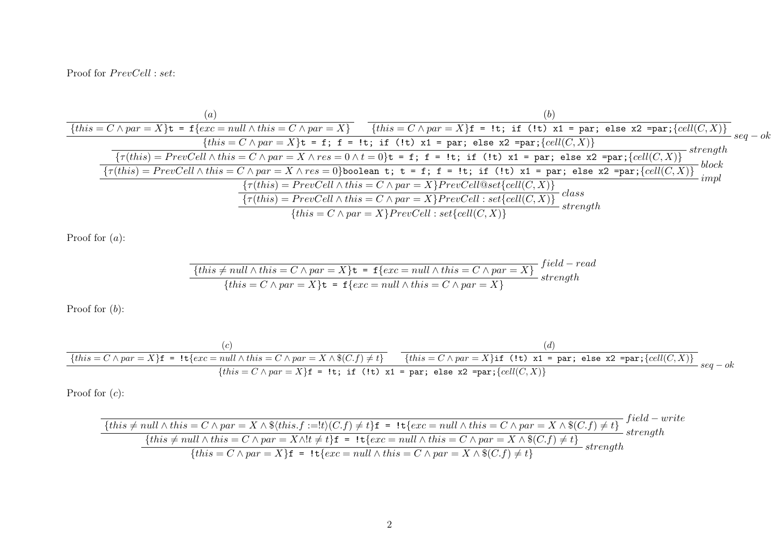Proof for  $PrevCell$ : set:

$$
\{this = C \wedge par = X\} \mathbf{t} = \mathbf{f}\{exc = null \wedge this = C \wedge par = X\}
$$
\n
$$
\{this = C \wedge par = X\} \mathbf{t} = \mathbf{f}; \ \mathbf{f} = \mathbf{t}; \ \mathbf{if} \ (l\mathbf{t}) \times 1 = par; \ \text{else} \ \mathbf{x} \text{ = par}; \ \text{level}(C, X)\}
$$
\n
$$
\{this = C \wedge par = X\} \mathbf{t} = \mathbf{f}; \ \mathbf{f} = \mathbf{lt}; \ \mathbf{if} \ (l\mathbf{t}) \times 1 = par; \ \text{else} \ \mathbf{x} \text{ = par}; \ \text{cell}(C, X)\}
$$
\n
$$
\{r(this) = PrevCell \wedge this = C \wedge par = X \wedge res = 0 \wedge t = 0\} \mathbf{t} = \mathbf{f}; \ \mathbf{f} = \mathbf{lt}; \ \mathbf{if} \ (l\mathbf{t}) \times 1 = par; \ \text{else} \ \mathbf{x} \text{ = par}; \ \text{cell}(C, X)\}
$$
\n
$$
\{r(this) = PrevCell \wedge this = C \wedge par = X \wedge res = 0\} \text{boolean } \mathbf{t}; \ \mathbf{t} = \mathbf{f}; \ \mathbf{f} = \mathbf{lt}; \ \mathbf{if} \ (l\mathbf{t}) \times 1 = par; \ \text{else} \ \mathbf{x} \text{ = par}; \ \text{cell}(C, X)\}
$$
\n
$$
\{r(this) = PrevCell \wedge this = C \wedge par = X\} \text{PrevCell} \otimes set \{cell(C, X)\}
$$
\n
$$
\{this = C \wedge par = X\} \text{PrevCell}: set \{cell(C, X)\}
$$
\n
$$
\{this = C \wedge par = X\} \text{PrevCell}: set \{cell(C, X)\}
$$
\n
$$
\{true \text{if} \ (this) = \text{PrevCell} \wedge this = C \wedge par = X\} \text{PrevCell}: set \{cell(C, X)\}
$$

Proof for (a):

$$
\{this \neq null \land this = C \land par = X\} \mathbf{t} = \mathbf{f}\{exc = null \land this = C \land par = X\}
$$
  

$$
\{this = C \land par = X\} \mathbf{t} = \mathbf{f}\{exc = null \land this = C \land par = X\}
$$
  

$$
strength
$$

Proof for  $(b)$ :

$$
\begin{array}{c|c|c|c} (c) & (d) & (e) & (f) & (g) \\ \hline \hline \{this = C \wedge par = X\} \mathbf{f} = \mathbf{1} \mathbf{t} \{ exc = null \wedge this = C \wedge par = X \wedge \$(C.f) \neq t \} & \text{ $\{this = C \wedge par = X\} \mathbf{if} \ (1\mathbf{t}) \ \mathbf{x1 = par}; \ \mathbf{else} \ \mathbf{x2 = par}; \{cell(C,X)\} \end{array} \\ \begin{array}{c} \text{else} \\ \text{seq - ok} & (f) & (g) & (h) \\ \end{array}
$$

Proof for  $(c)$ :

$$
\{this \neq null \land this = C \land par = X \land \$(this.f := !t)(C.f) \neq t\}f = !t\{exc = null \land this = C \land par = X \land \$(C.f) \neq t\} \text{ } field - write
$$
\n
$$
\{this \neq null \land this = C \land par = X \land !t \neq t\}f = !t\{exc = null \land this = C \land par = X \land \$(C.f) \neq t\} \text{ } strength
$$
\n
$$
\{this = C \land par = X\}f = !t\{exc = null \land this = C \land par = X \land \$(C.f) \neq t\} \text{ } strength
$$